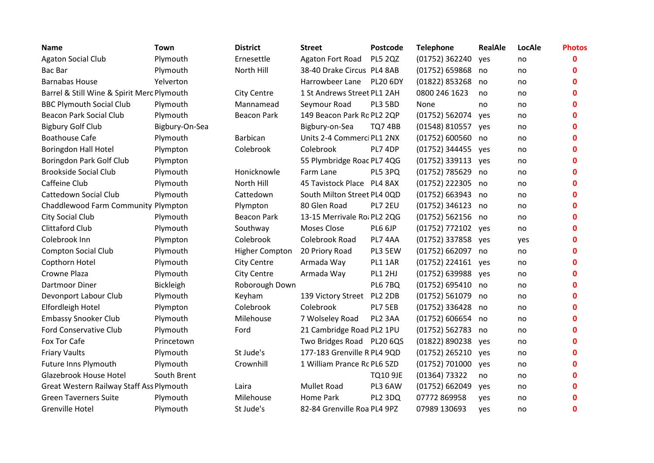| <b>Name</b>                                | Town           | <b>District</b>    | <b>Street</b>               | Postcode        | <b>Telephone</b>   | <b>RealAle</b> | LocAle | <b>Photos</b> |
|--------------------------------------------|----------------|--------------------|-----------------------------|-----------------|--------------------|----------------|--------|---------------|
| <b>Agaton Social Club</b>                  | Plymouth       | Ernesettle         | Agaton Fort Road            | <b>PL5 2QZ</b>  | (01752) 362240     | yes            | no     | $\mathbf 0$   |
| Bac Bar                                    | Plymouth       | North Hill         | 38-40 Drake Circus PL4 8AB  |                 | (01752) 659868     | no             | no     | 0             |
| <b>Barnabas House</b>                      | Yelverton      |                    | Harrowbeer Lane             | <b>PL20 6DY</b> | (01822) 853268     | no             | no     | 0             |
| Barrel & Still Wine & Spirit Merc Plymouth |                | <b>City Centre</b> | 1 St Andrews Street PL1 2AH |                 | 0800 246 1623      | no             | no     | 0             |
| <b>BBC Plymouth Social Club</b>            | Plymouth       | Mannamead          | Seymour Road                | PL3 5BD         | None               | no             | no     | 0             |
| <b>Beacon Park Social Club</b>             | Plymouth       | <b>Beacon Park</b> | 149 Beacon Park Ro PL2 2QP  |                 | (01752) 562074     | yes            | no     | $\mathbf 0$   |
| <b>Bigbury Golf Club</b>                   | Bigbury-On-Sea |                    | Bigbury-on-Sea              | <b>TQ7 4BB</b>  | (01548) 810557     | yes            | no     | 0             |
| <b>Boathouse Cafe</b>                      | Plymouth       | Barbican           | Units 2-4 Commerci PL1 2NX  |                 | (01752) 600560     | no             | no     | 0             |
| <b>Boringdon Hall Hotel</b>                | Plympton       | Colebrook          | Colebrook                   | PL7 4DP         | (01752) 344455     | yes            | no     | $\mathbf{0}$  |
| Boringdon Park Golf Club                   | Plympton       |                    | 55 Plymbridge Roac PL7 4QG  |                 | $(01752)$ 339113   | yes            | no     | $\mathbf 0$   |
| <b>Brookside Social Club</b>               | Plymouth       | Honicknowle        | Farm Lane                   | PL5 3PQ         | (01752) 785629     | no             | no     | $\mathbf{0}$  |
| Caffeine Club                              | Plymouth       | North Hill         | 45 Tavistock Place PL4 8AX  |                 | (01752) 222305     | no             | no     | $\mathbf{0}$  |
| Cattedown Social Club                      | Plymouth       | Cattedown          | South Milton Street PL4 0QD |                 | (01752) 663943     | no             | no     | $\mathbf{0}$  |
| Chaddlewood Farm Community Plympton        |                | Plympton           | 80 Glen Road                | PL7 2EU         | (01752) 346123     | no             | no     | 0             |
| <b>City Social Club</b>                    | Plymouth       | <b>Beacon Park</b> | 13-15 Merrivale Ro: PL2 2QG |                 | (01752) 562156     | no             | no     | $\mathbf 0$   |
| <b>Clittaford Club</b>                     | Plymouth       | Southway           | Moses Close                 | PL6 6JP         | (01752) 772102 yes |                | no     | 0             |
| Colebrook Inn                              | Plympton       | Colebrook          | Colebrook Road              | PL7 4AA         | (01752) 337858 yes |                | yes    | $\mathbf 0$   |
| <b>Compton Social Club</b>                 | Plymouth       | Higher Compton     | 20 Priory Road              | PL3 5EW         | (01752) 662097     | no             | no     | 0             |
| Copthorn Hotel                             | Plymouth       | <b>City Centre</b> | Armada Way                  | <b>PL1 1AR</b>  | (01752) 224161     | yes            | no     | 0             |
| Crowne Plaza                               | Plymouth       | <b>City Centre</b> | Armada Way                  | PL1 2HJ         | (01752) 639988     | yes            | no     | $\Omega$      |
| <b>Dartmoor Diner</b>                      | Bickleigh      | Roborough Down     |                             | <b>PL6 7BQ</b>  | (01752) 695410     | no             | no     | $\mathbf{0}$  |
| Devonport Labour Club                      | Plymouth       | Keyham             | 139 Victory Street PL2 2DB  |                 | (01752) 561079     | no             | no     | 0             |
| Elfordleigh Hotel                          | Plympton       | Colebrook          | Colebrook                   | PL7 5EB         | (01752) 336428     | no             | no     | $\mathbf{0}$  |
| <b>Embassy Snooker Club</b>                | Plymouth       | Milehouse          | 7 Wolseley Road             | PL2 3AA         | (01752) 606654     | no             | no     | 0             |
| <b>Ford Conservative Club</b>              | Plymouth       | Ford               | 21 Cambridge Road PL2 1PU   |                 | (01752) 562783     | no             | no     | 0             |
| Fox Tor Cafe                               | Princetown     |                    | Two Bridges Road PL20 6QS   |                 | (01822) 890238     | yes            | no     | 0             |
| <b>Friary Vaults</b>                       | Plymouth       | St Jude's          | 177-183 Grenville R PL4 9QD |                 | (01752) 265210     | yes            | no     | 0             |
| <b>Future Inns Plymouth</b>                | Plymouth       | Crownhill          | 1 William Prance Rc PL6 5ZD |                 | (01752) 701000     | yes            | no     | 0             |
| Glazebrook House Hotel                     | South Brent    |                    |                             | <b>TQ10 9JE</b> | (01364) 73322      | no             | no     | $\mathbf{0}$  |
| Great Western Railway Staff Ass Plymouth   |                | Laira              | <b>Mullet Road</b>          | PL3 6AW         | (01752) 662049     | yes            | no     | 0             |
| <b>Green Taverners Suite</b>               | Plymouth       | Milehouse          | Home Park                   | PL2 3DQ         | 07772 869958       | yes            | no     | $\mathbf 0$   |
| <b>Grenville Hotel</b>                     | Plymouth       | St Jude's          | 82-84 Grenville Roa PL4 9PZ |                 | 07989 130693       | yes            | no     | $\mathbf 0$   |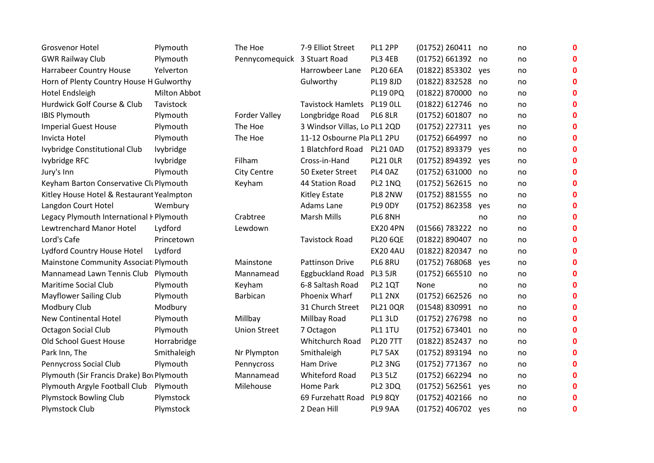| <b>Grosvenor Hotel</b>                    | Plymouth         | The Hoe                      | 7-9 Elliot Street            | PL1 2PP         | (01752) 260411 no  |     | no | $\mathbf 0$  |
|-------------------------------------------|------------------|------------------------------|------------------------------|-----------------|--------------------|-----|----|--------------|
| <b>GWR Railway Club</b>                   | Plymouth         | Pennycomequick 3 Stuart Road |                              | PL3 4EB         | (01752) 661392 no  |     | no | 0            |
| <b>Harrabeer Country House</b>            | Yelverton        |                              | Harrowbeer Lane              | <b>PL20 6EA</b> | (01822) 853302 yes |     | no | $\mathbf{0}$ |
| Horn of Plenty Country House H Gulworthy  |                  |                              | Gulworthy                    | PL19 8JD        | (01822) 832528 no  |     | no | $\mathbf{0}$ |
| Hotel Endsleigh                           | Milton Abbot     |                              |                              | <b>PL19 0PQ</b> | (01822) 870000 no  |     | no | 0            |
| Hurdwick Golf Course & Club               | Tavistock        |                              | <b>Tavistock Hamlets</b>     | <b>PL19 OLL</b> | (01822) 612746 no  |     | no | 0            |
| <b>IBIS Plymouth</b>                      | Plymouth         | Forder Valley                | Longbridge Road              | PL6 8LR         | (01752) 601807 no  |     | no | O            |
| <b>Imperial Guest House</b>               | Plymouth         | The Hoe                      | 3 Windsor Villas, Lo PL1 2QD |                 | (01752) 227311     | yes | no | 0            |
| Invicta Hotel                             | Plymouth         | The Hoe                      | 11-12 Osbourne Pla PL1 2PU   |                 | (01752) 664997 no  |     | no | 0            |
| Ivybridge Constitutional Club             | <b>lvybridge</b> |                              | 1 Blatchford Road            | <b>PL21 0AD</b> | (01752) 893379     | ves | no | $\mathbf{0}$ |
| Ivybridge RFC                             | Ivybridge        | Filham                       | Cross-in-Hand                | <b>PL21 OLR</b> | (01752) 894392     | yes | no | $\Omega$     |
| Jury's Inn                                | Plymouth         | <b>City Centre</b>           | 50 Exeter Street             | PL4 0AZ         | (01752) 631000 no  |     | no | 0            |
| Keyham Barton Conservative CluPlymouth    |                  | Keyham                       | 44 Station Road              | PL2 1NQ         | (01752) 562615 no  |     | no | 0            |
| Kitley House Hotel & Restaurant Yealmpton |                  |                              | <b>Kitley Estate</b>         | PL8 2NW         | (01752) 881555 no  |     | no | O            |
| Langdon Court Hotel                       | Wembury          |                              | Adams Lane                   | PL9 ODY         | (01752)862358      | yes | no | O            |
| Legacy Plymouth International I Plymouth  |                  | Crabtree                     | <b>Marsh Mills</b>           | PL6 8NH         |                    | no  | no | 0            |
| Lewtrenchard Manor Hotel                  | Lydford          | Lewdown                      |                              | <b>EX20 4PN</b> | (01566) 783222     | no  | no | 0            |
| Lord's Cafe                               | Princetown       |                              | <b>Tavistock Road</b>        | <b>PL20 6QE</b> | (01822) 890407     | no  | no | 0            |
| Lydford Country House Hotel               | Lydford          |                              |                              | <b>EX20 4AU</b> | (01822) 820347     | no  | no | O            |
| Mainstone Community Associat Plymouth     |                  | Mainstone                    | <b>Pattinson Drive</b>       | PL6 8RU         | (01752) 768068     | ves | no | 0            |
| Mannamead Lawn Tennis Club                | Plymouth         | Mannamead                    | <b>Eggbuckland Road</b>      | PL3 5JR         | (01752) 665510     | no  | no | 0            |
| Maritime Social Club                      | Plymouth         | Keyham                       | 6-8 Saltash Road             | <b>PL2 1QT</b>  | None               | no  | no | O            |
| <b>Mayflower Sailing Club</b>             | Plymouth         | Barbican                     | Phoenix Wharf                | PL1 2NX         | (01752) 662526 no  |     | no | 0            |
| Modbury Club                              | Modbury          |                              | 31 Church Street             | <b>PL21 0QR</b> | (01548) 830991 no  |     | no | ი            |
| <b>New Continental Hotel</b>              | Plymouth         | Millbay                      | Millbay Road                 | PL1 3LD         | (01752) 276798 no  |     | no | $\mathbf 0$  |
| Octagon Social Club                       | Plymouth         | <b>Union Street</b>          | 7 Octagon                    | PL1 1TU         | (01752) 673401 no  |     | no | $\mathbf{0}$ |
| Old School Guest House                    | Horrabridge      |                              | Whitchurch Road              | <b>PL20 7TT</b> | (01822) 852437 no  |     | no | O            |
| Park Inn, The                             | Smithaleigh      | Nr Plympton                  | Smithaleigh                  | PL7 5AX         | (01752) 893194 no  |     | no | 0            |
| Pennycross Social Club                    | Plymouth         | Pennycross                   | Ham Drive                    | PL2 3NG         | (01752) 771367 no  |     | no | 0            |
| Plymouth (Sir Francis Drake) Bov Plymouth |                  | Mannamead                    | <b>Whiteford Road</b>        | PL3 5LZ         | (01752) 662294     | no  | no | $\Omega$     |
| Plymouth Argyle Football Club             | Plymouth         | Milehouse                    | Home Park                    | PL2 3DQ         | (01752) 562561     | yes | no | O            |
| <b>Plymstock Bowling Club</b>             | Plymstock        |                              | 69 Furzehatt Road            | <b>PL9 8QY</b>  | (01752) 402166 no  |     | no | $\bf{0}$     |
| Plymstock Club                            | Plymstock        |                              | 2 Dean Hill                  | PL9 9AA         | (01752) 406702 yes |     | no | $\mathbf 0$  |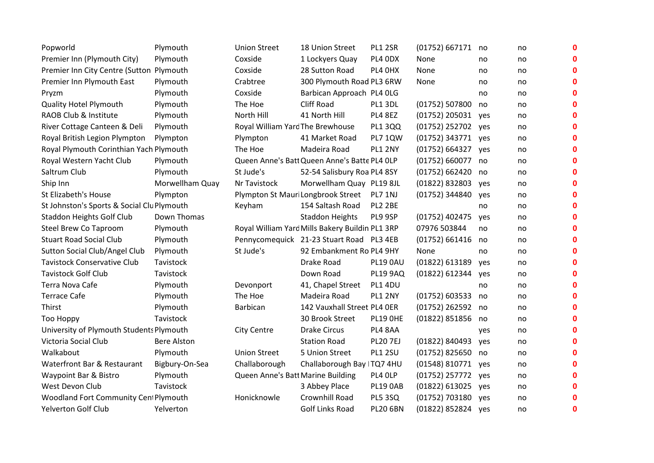| Popworld                                   | Plymouth           | <b>Union Street</b>               | 18 Union Street                                 | PL1 2SR         | (01752) 667171     | no  | no | $\mathbf 0$  |
|--------------------------------------------|--------------------|-----------------------------------|-------------------------------------------------|-----------------|--------------------|-----|----|--------------|
| Premier Inn (Plymouth City)                | Plymouth           | Coxside                           | 1 Lockyers Quay                                 | PL4 ODX         | None               | no  | no | $\mathbf 0$  |
| Premier Inn City Centre (Sutton Plymouth   |                    | Coxside                           | 28 Sutton Road                                  | PL4 OHX         | None               | no  | no | $\mathbf 0$  |
| Premier Inn Plymouth East                  | Plymouth           | Crabtree                          | 300 Plymouth Road PL3 6RW                       |                 | None               | no  | no | $\mathbf 0$  |
| Pryzm                                      | Plymouth           | Coxside                           | Barbican Approach PL4 OLG                       |                 |                    | no  | no | $\mathbf 0$  |
| <b>Quality Hotel Plymouth</b>              | Plymouth           | The Hoe                           | Cliff Road                                      | PL1 3DL         | (01752) 507800     | no  | no | $\mathbf 0$  |
| RAOB Club & Institute                      | Plymouth           | North Hill                        | 41 North Hill                                   | PL4 8EZ         | (01752) 205031     | yes | no | $\mathbf 0$  |
| River Cottage Canteen & Deli               | Plymouth           | Royal William Yard The Brewhouse  |                                                 | <b>PL1 3QQ</b>  | (01752) 252702     | yes | no | $\mathbf 0$  |
| Royal British Legion Plympton              | Plympton           | Plympton                          | 41 Market Road                                  | <b>PL7 1QW</b>  | (01752) 343771     | ves | no | $\mathbf 0$  |
| Royal Plymouth Corinthian Yach Plymouth    |                    | The Hoe                           | Madeira Road                                    | PL1 2NY         | (01752) 664327     | yes | no | $\mathbf 0$  |
| Royal Western Yacht Club                   | Plymouth           |                                   | Queen Anne's Batt Queen Anne's Batte PL4 OLP    |                 | (01752) 660077     | no  | no | $\mathbf 0$  |
| Saltrum Club                               | Plymouth           | St Jude's                         | 52-54 Salisbury Roa PL4 8SY                     |                 | (01752) 662420     | no  | no | $\mathbf 0$  |
| Ship Inn                                   | Morwellham Quay    | Nr Tavistock                      | Morwellham Quay PL19 8JL                        |                 | (01822) 832803     | yes | no | $\mathbf 0$  |
| St Elizabeth's House                       | Plympton           |                                   | Plympton St Mauri Longbrook Street              | PL7 1NJ         | (01752) 344840     | yes | no | $\mathbf 0$  |
| St Johnston's Sports & Social Clu Plymouth |                    | Keyham                            | 154 Saltash Road                                | <b>PL2 2BE</b>  |                    | no  | no | $\mathbf 0$  |
| Staddon Heights Golf Club                  | Down Thomas        |                                   | <b>Staddon Heights</b>                          | PL9 9SP         | (01752) 402475     | yes | no | $\mathbf 0$  |
| Steel Brew Co Taproom                      | Plymouth           |                                   | Royal William Yarc Mills Bakery Buildin PL1 3RP |                 | 07976 503844       | no  | no | $\mathbf{0}$ |
| <b>Stuart Road Social Club</b>             | Plymouth           |                                   | Pennycomeguick 21-23 Stuart Road PL3 4EB        |                 | (01752) 661416     | no  | no | $\mathbf 0$  |
| Sutton Social Club/Angel Club              | Plymouth           | St Jude's                         | 92 Embankment Ro PL4 9HY                        |                 | None               | no  | no | $\mathbf 0$  |
| <b>Tavistock Conservative Club</b>         | Tavistock          |                                   | Drake Road                                      | <b>PL19 0AU</b> | (01822) 613189     | yes | no | $\mathbf 0$  |
| <b>Tavistock Golf Club</b>                 | Tavistock          |                                   | Down Road                                       | <b>PL19 9AQ</b> | (01822) 612344     | ves | no | $\mathbf 0$  |
| Terra Nova Cafe                            | Plymouth           | Devonport                         | 41, Chapel Street                               | PL1 4DU         |                    | no  | no | $\mathbf 0$  |
| <b>Terrace Cafe</b>                        | Plymouth           | The Hoe                           | Madeira Road                                    | <b>PL1 2NY</b>  | (01752) 603533     | no  | no | $\mathbf 0$  |
| Thirst                                     | Plymouth           | Barbican                          | 142 Vauxhall Street PL4 OER                     |                 | (01752) 262592     | no  | no | $\mathbf 0$  |
| <b>Too Hoppy</b>                           | Tavistock          |                                   | 30 Brook Street                                 | <b>PL19 OHE</b> | (01822) 851856     | no  | no | $\mathbf 0$  |
| University of Plymouth Students Plymouth   |                    | <b>City Centre</b>                | <b>Drake Circus</b>                             | PL4 8AA         |                    | yes | no | $\mathbf 0$  |
| Victoria Social Club                       | <b>Bere Alston</b> |                                   | <b>Station Road</b>                             | <b>PL20 7EJ</b> | (01822) 840493     | yes | no | $\mathbf 0$  |
| Walkabout                                  | Plymouth           | <b>Union Street</b>               | 5 Union Street                                  | <b>PL1 2SU</b>  | (01752) 825650     | no  | no | $\mathbf 0$  |
| Waterfront Bar & Restaurant                | Bigbury-On-Sea     | Challaborough                     | Challaborough Bay ITQ7 4HU                      |                 | (01548) 810771     | yes | no | $\mathbf 0$  |
| Waypoint Bar & Bistro                      | Plymouth           | Queen Anne's Batt Marine Building |                                                 | PL4 OLP         | (01752) 257772     | yes | no | $\mathbf 0$  |
| West Devon Club                            | Tavistock          |                                   | 3 Abbey Place                                   | <b>PL19 0AB</b> | (01822) 613025     | yes | no | $\mathbf 0$  |
| Woodland Fort Community Cent Plymouth      |                    | Honicknowle                       | Crownhill Road                                  | <b>PL5 3SQ</b>  | (01752) 703180     | yes | no | $\mathbf 0$  |
| Yelverton Golf Club                        | Yelverton          |                                   | <b>Golf Links Road</b>                          | <b>PL20 6BN</b> | (01822) 852824 yes |     | no | $\mathbf 0$  |